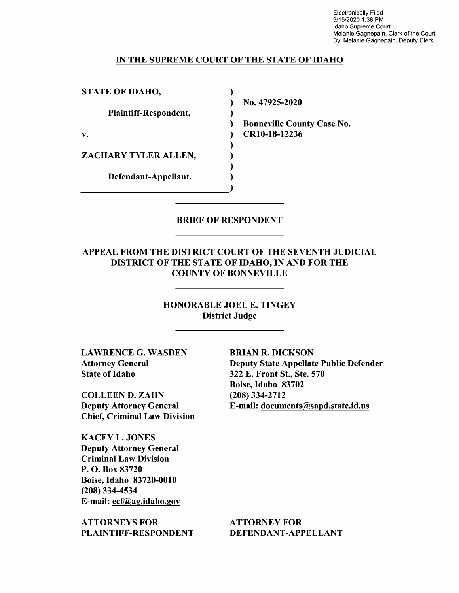Electronically Filed 9/1 5/2020 1:38 PM Idaho Supreme Court Melanie Gagnepain, Clerk of the Court By: Melanie Gagnepain, Deputy Clerk

#### IN THE SUPREME COURT OF THE STATE OF IDAHO

 $\lambda$  $\mathcal{E}$  $\lambda$  $\lambda$ 

 $\lambda$  $\mathbf{)}$  $\lambda$ 

STATE OF IDAHO,

Plaintiff—Respondent,

ZACHARY TYLER ALLEN,

Defendant—Appellant.

N0. 47925-2020

Bonneville County Case N0. v. CR10-18-12236

## BRIEF OF RESPONDENT

APPEAL FROM THE DISTRICT COURT OF THE SEVENTH JUDICIAL DISTRICT OF THE STATE OF IDAHO, IN AND FOR THE COUNTY OF BONNEVILLE

> HONORABLE JOEL E. TINGEY District Judge

LAWRENCE G. WASDEN Attorney General State of Idaho

COLLEEN D. ZAHN Deputy Attorney General Chief, Criminal Law Division

KACEY L. JONES Deputy Attorney General Criminal Law Division P. O. Box 83720 Boise, Idaho 83720-0010 (208) 334-4534 E-mail: ecf@ag.idaho.gov

ATTORNEYS FOR PLAINTIFF-RESPONDENT

BRIAN R. DICKSON Deputy State Appellate Public Defender 322 E. Front St., Ste. 570 Boise, Idaho 83702 (208) 334-2712 E-mail: documents@sapd.state.id.us

ATTORNEY FOR DEFENDANT-APPELLANT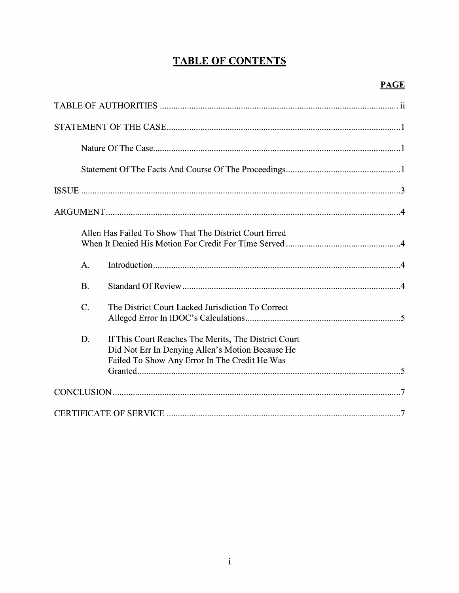# **TABLE OF CONTENTS**

| Allen Has Failed To Show That The District Court Erred                                                                                                          |
|-----------------------------------------------------------------------------------------------------------------------------------------------------------------|
| A.                                                                                                                                                              |
| B.                                                                                                                                                              |
| $\overline{C}$ .<br>The District Court Lacked Jurisdiction To Correct                                                                                           |
| D.<br>If This Court Reaches The Merits, The District Court<br>Did Not Err In Denying Allen's Motion Because He<br>Failed To Show Any Error In The Credit He Was |
|                                                                                                                                                                 |
|                                                                                                                                                                 |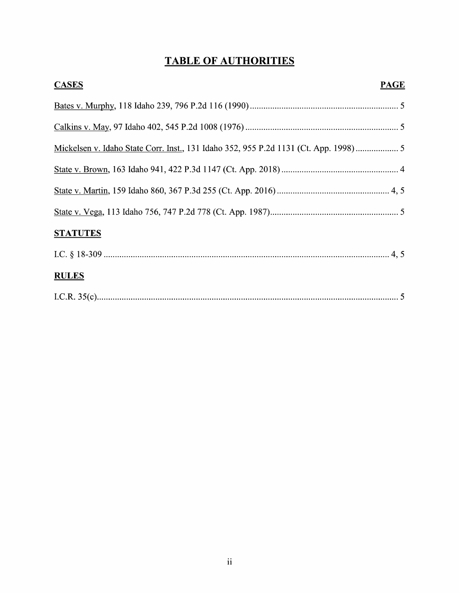# TABLE OF AUTHORITIES

| <b>CASES</b><br><b>PAGE</b>                                                          |
|--------------------------------------------------------------------------------------|
|                                                                                      |
|                                                                                      |
| Mickelsen v. Idaho State Corr. Inst., 131 Idaho 352, 955 P.2d 1131 (Ct. App. 1998) 5 |
|                                                                                      |
|                                                                                      |
|                                                                                      |
| <b>STATUTES</b>                                                                      |
|                                                                                      |
| <b>RULES</b>                                                                         |
|                                                                                      |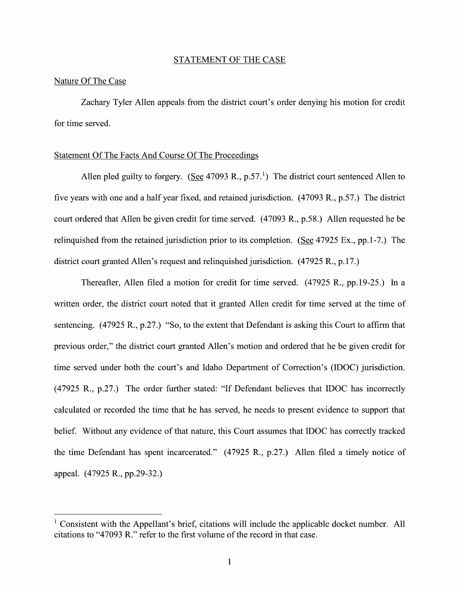#### STATEMENT OF THE CASE

#### Nature Of The Case

Zachary Tyler Allen appeals from the district court's order denying his motion for credit for time served.

#### Statement Of The Facts And Course Of The Proceedings

Allen pled guilty to forgery. (See 47093 R., p.57.<sup>1</sup>) The district court sentenced Allen to five years with one and a half year fixed, and retained jurisdiction. (47093 R., p.57.) The district court ordered that Allen be given credit for time served. (47093 R., p.58.) Allen requested he be relinguished from the retained jurisdiction prior to its completion. (See  $47925$  Ex., pp.1-7.) The district court granted Allen's request and relinquished jurisdiction. (47925 R., p.17.)

Thereafter, Allen filed a motion for credit for time served. (47925 R., pp.19-25.) In a written order, the district court noted that it granted Allen credit for time served at the time of sentencing. (47925 R., p.27.) "So, to the extent that Defendant is asking this Court to affirm that previous order," the district court granted Allen's motion and ordered that he be given credit for time served under both the court's and Idaho Department 0f Correction's (IDOC) jurisdiction. (47925 R., p.27.) The order further stated: "If Defendant believes that IDOC has incorrectly calculated or recorded the time that he has served, he needs to present evidence to support that belief. Without any evidence of that nature, this Court assumes that IDOC has correctly tracked the time Defendant has spent incarcerated."  $(47925 R., p.27.)$  Allen filed a timely notice of appeal. (47925 R., pp.29-32.)

<sup>&</sup>lt;sup>1</sup> Consistent with the Appellant's brief, citations will include the applicable docket number. All citations to "47093 R." refer to the first volume 0f the record in that case.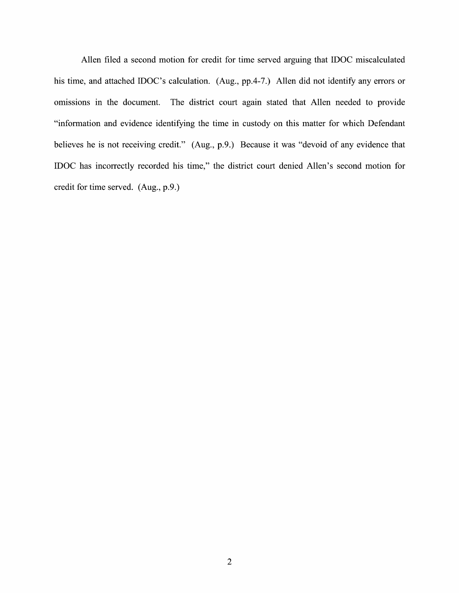Allen filed a second motion for credit for time served arguing that IDOC miscalculated his time, and attached IDOC's calculation. (Aug., pp.4-7.) Allen did not identify any errors or omissions in the document. The district court again stated that Allen needed to provide "information and evidence identifying the time in custody on this matter for Which Defendant believes he is not receiving credit." (Aug, p.9.) Because it was "devoid of any evidence that IDOC has incorrectly recorded his time," the district court denied Allen's second motion for credit for time served. (Aug, p.9.)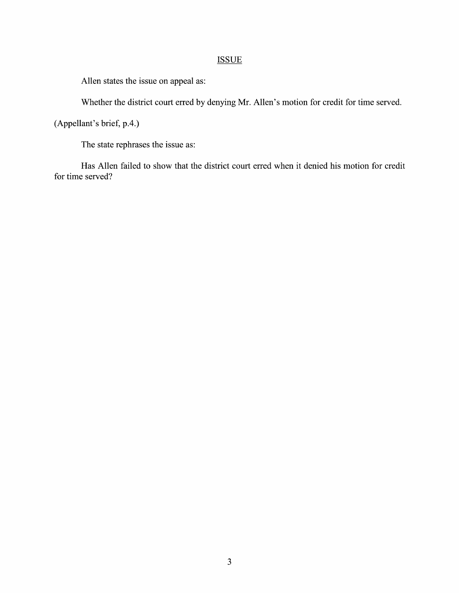# **ISSUE**

Allen states the issue on appeal as:

Whether the district court erred by denying Mr. Allen's motion for credit for time served.

(Appellant's brief, p.4.)

The state rephrases the issue as:

Has Allen failed to show that the district court erred when it denied his motion for credit for time served?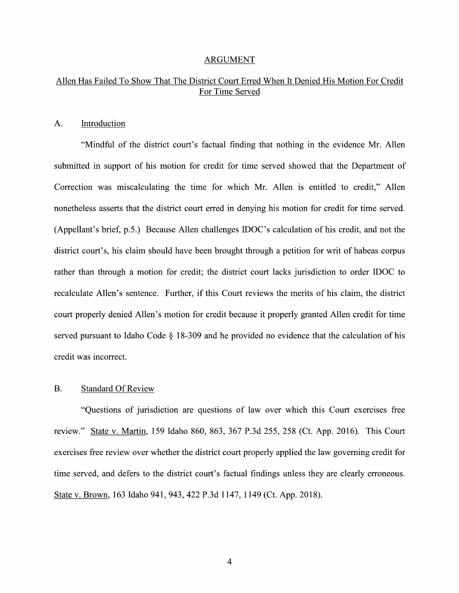#### ARGUMENT

# Allen Has Failed To Show That The District Court Erred When It Denied His Motion For Credit For Time Served

## A. Introduction

"Mindful of the district court's factual finding that nothing in the evidence Mr. Allen submitted in support of his motion for credit for time served showed that the Department of Correction was miscalculating the time for which Mr. Allen is entitled to credit," Allen nonetheless asserts that the district court erred in denying his motion for credit for time served. (Appellant's brief, p.5.) Because Allen challenges IDOC's calculation of his credit, and not the district court's, his claim should have been brought through a petition for writ of habeas corpus rather than through a motion for credit; the district court lacks jurisdiction to order IDOC to recalculate Allen's sentence. Further, if this Court reviews the merits 0f his claim, the district court properly denied Allen's motion for credit because it properly granted Allen credit for time served pursuant to Idaho Code  $\S$  18-309 and he provided no evidence that the calculation of his credit was incorrect.

### B. Standard Of Review

"Questions 0f jurisdiction are questions 0f law over Which this Court exercises free review." State V. Martin, 159 Idaho 860, 863, 367 P.3d 255, 258 (Ct. App. 2016). This Court exercises free review over whether the district court properly applied the law governing credit for time served, and defers to the district court's factual findings unless they are clearly erroneous. State V. Brown, 163 Idaho 941, 943, 422 P.3d 1147, 1149 (Ct. App. 2018).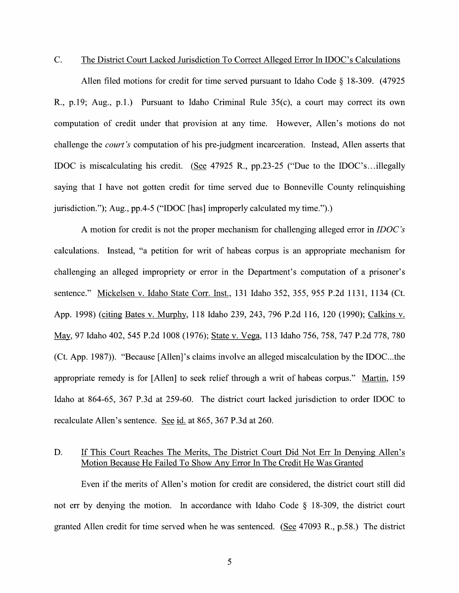C. The District Court Lacked Jurisdiction T0 Correct Alleged Error In IDOC's Calculations

Allen filed motions for credit for time served pursuant to Idaho Code  $\S$  18-309. (47925) R., p.19; Aug., p.1.) Pursuant to Idaho Criminal Rule  $35(c)$ , a court may correct its own computation of credit under that provision at any time. However, Allen's motions do not challenge the court's computation of his pre-judgment incarceration. Instead, Allen asserts that IDOC is miscalculating his credit. (See 47925 R., pp.23-25 ("Due to the IDOC's...illegally saying that I have not gotten credit for time served due to Bonneville County relinquishing jurisdiction."); Aug., pp.4-5 ("IDOC [has] improperly calculated my time.").)

A motion for credit is not the proper mechanism for challenging alleged error in *IDOC's* calculations. Instead, "a petition for writ 0f habeas corpus is an appropriate mechanism for challenging an alleged impropriety or error in the Department's computation of a prisoner's sentence." Mickelsen v. Idaho State Corr. Inst., 131 Idaho 352, 355, 955 P.2d 1131, 1134 (Ct. App. 1998) (citing Bates V. Murphy, 118 Idaho 239, 243, 796 P.2d 116, 120 (1990); Calkins V. m, <sup>97</sup> Idaho 402, <sup>545</sup> P.2d <sup>1008</sup> (1976); State V. Vega, <sup>113</sup> Idaho 756, 758, <sup>747</sup> P.2d 778, <sup>780</sup> (Ct. App. 1987)). "Because [Allen]'s claims involve an alleged miscalculation by the IDOC...the appropriate remedy is for  $[Allen]$  to seek relief through a writ of habeas corpus." Martin, 159 Idaho at 864-65, 367 P.3d at 259-60. The district court lacked jurisdiction to order IDOC to recalculate Allen's sentence. See id. at 865, 367 P.3d at 260.

## D. If This Court Reaches The Merits, The District Court Did Not Err In Denying Allen's Motion Because He Failed T0 Show AnV Error In The Credit He Was Granted

Even if the merits 0f Allen's motion for credit are considered, the district court still did not err by denying the motion. In accordance with Idaho Code  $\S$  18-309, the district court granted Allen credit for time served when he was sentenced. (See  $47093$  R., p.58.) The district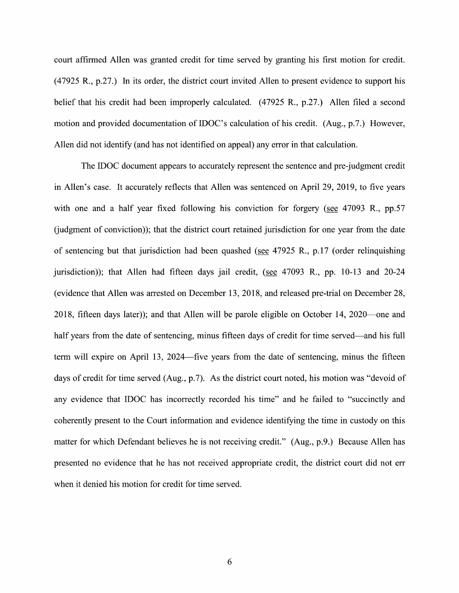court affirmed Allen was granted credit for time served by granting his first motion for credit. (47925 R., p.27.) In its order, the district court invited Allen to present evidence to support his belief that his credit had been improperly calculated.  $(47925 R., p.27.)$  Allen filed a second motion and provided documentation of IDOC's calculation of his credit. (Aug., p.7.) However, Allen did not identify (and has not identified on appeal) any error in that calculation.

The IDOC document appears to accurately represent the sentence and pre-judgment credit in Allen's case. It accurately reflects that Allen was sentenced on April 29, 2019, to five years with one and a half year fixed following his conviction for forgery (see  $47093$  R., pp.57 (judgment of conviction)); that the district court retained jurisdiction for one year from the date of sentencing but that jurisdiction had been quashed (see  $47925$  R., p.17 (order relinquishing jurisdiction)); that Allen had fifteen days jail credit, (see  $47093$  R., pp. 10-13 and 20-24 (evidence that Allen was arrested 0n December 13, 2018, and released pre-trial on December 28, 2018, fifteen days later)); and that Allen will be parole eligible on October 14, 2020—one and half years from the date of sentencing, minus fifteen days of credit for time served—and his full term will expire 0n April 13, 2024—five years from the date of sentencing, minus the fifteen days of credit for time served (Aug., p.7). As the district court noted, his motion was "devoid of any evidence that IDOC has incorrectly recorded his time" and he failed to "succinctly and coherently present to the Court information and evidence identifying the time in custody on this matter for which Defendant believes he is not receiving credit." (Aug., p.9.) Because Allen has presented no evidence that he has not received appropriate credit, the district court did not err When it denied his motion for credit for time served.